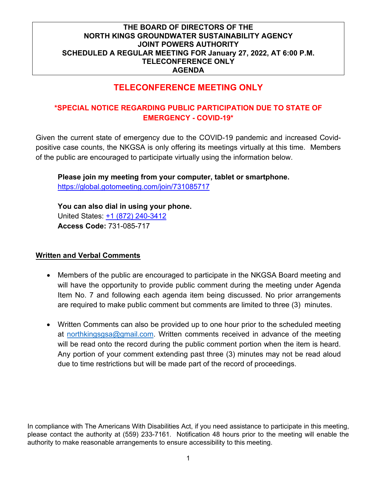# **TELECONFERENCE MEETING ONLY**

# **\*SPECIAL NOTICE REGARDING PUBLIC PARTICIPATION DUE TO STATE OF EMERGENCY - COVID-19\***

Given the current state of emergency due to the COVID-19 pandemic and increased Covidpositive case counts, the NKGSA is only offering its meetings virtually at this time. Members of the public are encouraged to participate virtually using the information below.

**Please join my meeting from your computer, tablet or smartphone.**  <https://global.gotomeeting.com/join/731085717>

**You can also dial in using your phone.** United States: [+1 \(872\) 240-3412](tel:+18722403412,,731085717) **Access Code:** 731-085-717

#### **Written and Verbal Comments**

- Members of the public are encouraged to participate in the NKGSA Board meeting and will have the opportunity to provide public comment during the meeting under Agenda Item No. 7 and following each agenda item being discussed. No prior arrangements are required to make public comment but comments are limited to three (3) minutes.
- Written Comments can also be provided up to one hour prior to the scheduled meeting at [northkingsgsa@gmail.com.](mailto:northkingsgsa@gmail.com) Written comments received in advance of the meeting will be read onto the record during the public comment portion when the item is heard. Any portion of your comment extending past three (3) minutes may not be read aloud due to time restrictions but will be made part of the record of proceedings.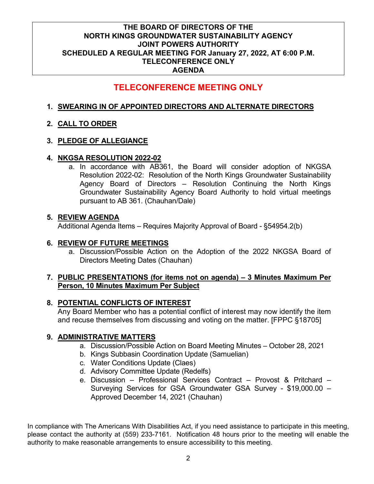# **TELECONFERENCE MEETING ONLY**

## **1. SWEARING IN OF APPOINTED DIRECTORS AND ALTERNATE DIRECTORS**

## **2. CALL TO ORDER**

#### **3. PLEDGE OF ALLEGIANCE**

#### **4. NKGSA RESOLUTION 2022-02**

a. In accordance with AB361, the Board will consider adoption of NKGSA Resolution 2022-02: Resolution of the North Kings Groundwater Sustainability Agency Board of Directors – Resolution Continuing the North Kings Groundwater Sustainability Agency Board Authority to hold virtual meetings pursuant to AB 361. (Chauhan/Dale)

#### **5. REVIEW AGENDA**

Additional Agenda Items – Requires Majority Approval of Board - §54954.2(b)

#### **6. REVIEW OF FUTURE MEETINGS**

a. Discussion/Possible Action on the Adoption of the 2022 NKGSA Board of Directors Meeting Dates (Chauhan)

#### **7. PUBLIC PRESENTATIONS (for items not on agenda) – 3 Minutes Maximum Per Person, 10 Minutes Maximum Per Subject**

#### **8. POTENTIAL CONFLICTS OF INTEREST**

Any Board Member who has a potential conflict of interest may now identify the item and recuse themselves from discussing and voting on the matter. [FPPC §18705]

#### **9. ADMINISTRATIVE MATTERS**

- a. Discussion/Possible Action on Board Meeting Minutes October 28, 2021
- b. Kings Subbasin Coordination Update (Samuelian)
- c. Water Conditions Update (Claes)
- d. Advisory Committee Update (Redelfs)
- e. Discussion Professional Services Contract Provost & Pritchard Surveying Services for GSA Groundwater GSA Survey - \$19,000.00 – Approved December 14, 2021 (Chauhan)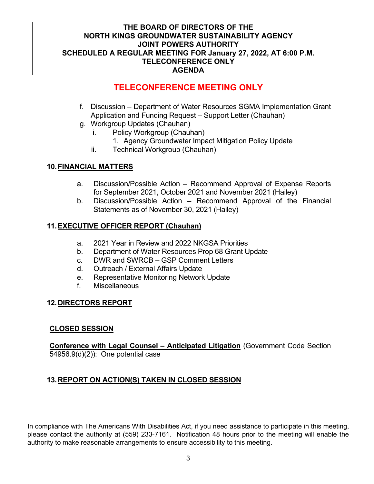# **TELECONFERENCE MEETING ONLY**

- f. Discussion Department of Water Resources SGMA Implementation Grant Application and Funding Request – Support Letter (Chauhan)
- g. Workgroup Updates (Chauhan)
	- i. Policy Workgroup (Chauhan)
		- 1. Agency Groundwater Impact Mitigation Policy Update
	- ii. Technical Workgroup (Chauhan)

## **10.FINANCIAL MATTERS**

- a. Discussion/Possible Action Recommend Approval of Expense Reports for September 2021, October 2021 and November 2021 (Hailey)
- b. Discussion/Possible Action Recommend Approval of the Financial Statements as of November 30, 2021 (Hailey)

## **11.EXECUTIVE OFFICER REPORT (Chauhan)**

- a. 2021 Year in Review and 2022 NKGSA Priorities
- b. Department of Water Resources Prop 68 Grant Update
- c. DWR and SWRCB GSP Comment Letters
- d. Outreach / External Affairs Update
- e. Representative Monitoring Network Update
- f. Miscellaneous

#### **12.DIRECTORS REPORT**

#### **CLOSED SESSION**

**Conference with Legal Counsel – Anticipated Litigation** (Government Code Section 54956.9(d)(2)): One potential case

#### **13.REPORT ON ACTION(S) TAKEN IN CLOSED SESSION**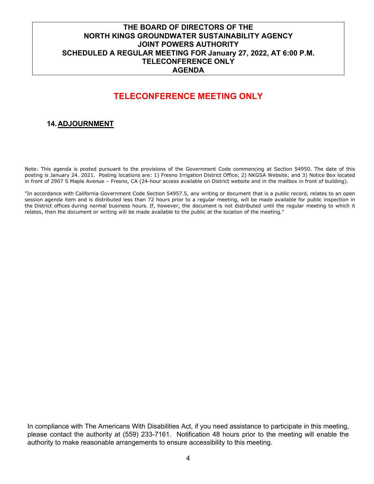# **TELECONFERENCE MEETING ONLY**

# **14.ADJOURNMENT**

Note: This agenda is posted pursuant to the provisions of the Government Code commencing at Section 54950. The date of this posting is January 24. 2021. Posting locations are: 1) Fresno Irrigation District Office; 2) NKGSA Website; and 3) Notice Box located in front of 2907 S Maple Avenue – Fresno, CA (24-hour access available on District website and in the mailbox in front of building).

"In accordance with California Government Code Section 54957.5, any writing or document that is a public record, relates to an open session agenda item and is distributed less than 72 hours prior to a regular meeting, will be made available for public inspection in the District offices during normal business hours. If, however, the document is not distributed until the regular meeting to which it relates, then the document or writing will be made available to the public at the location of the meeting."